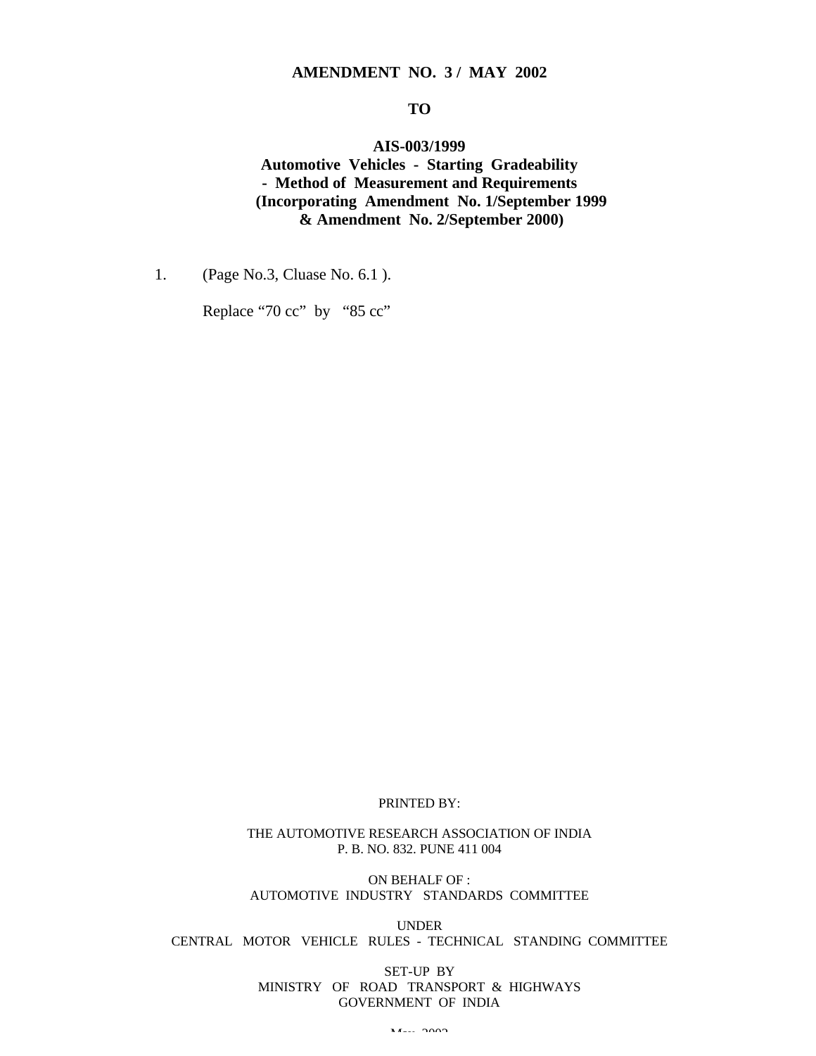#### **AMENDMENT NO. 3 / MAY 2002**

#### **TO**

#### **AIS-003/1999**

**Automotive Vehicles - Starting Gradeability - Method of Measurement and Requirements (Incorporating Amendment No. 1/September 1999 & Amendment No. 2/September 2000)**

1. (Page No.3, Cluase No. 6.1 ).

Replace "70 cc" by "85 cc"

#### PRINTED BY:

THE AUTOMOTIVE RESEARCH ASSOCIATION OF INDIA P. B. NO. 832. PUNE 411 004

ON BEHALF OF : AUTOMOTIVE INDUSTRY STANDARDS COMMITTEE

UNDER CENTRAL MOTOR VEHICLE RULES - TECHNICAL STANDING COMMITTEE

> SET-UP BY MINISTRY OF ROAD TRANSPORT & HIGHWAYS GOVERNMENT OF INDIA

> > $M = 2002$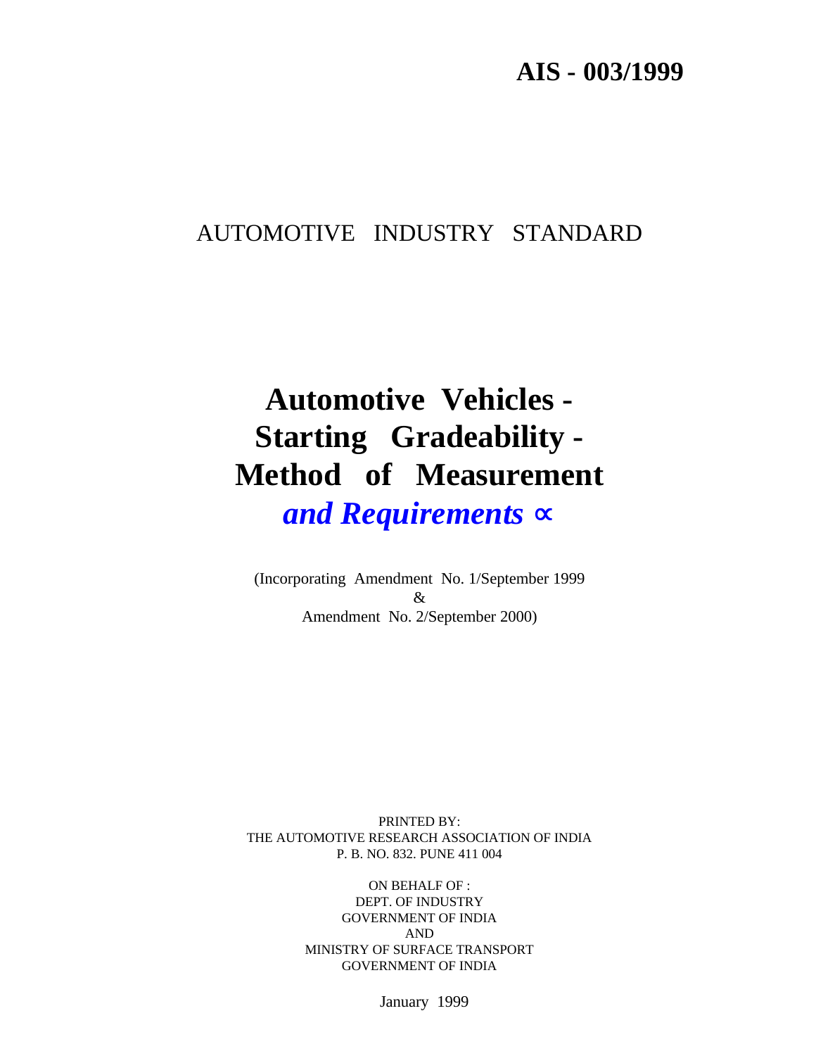# **AIS - 003/1999**

# AUTOMOTIVE INDUSTRY STANDARD

# **Automotive Vehicles - Starting Gradeability - Method of Measurement** *and Requirements* ∝

(Incorporating Amendment No. 1/September 1999 & Amendment No. 2/September 2000)

PRINTED BY: THE AUTOMOTIVE RESEARCH ASSOCIATION OF INDIA P. B. NO. 832. PUNE 411 004

> ON BEHALF OF : DEPT. OF INDUSTRY GOVERNMENT OF INDIA AND MINISTRY OF SURFACE TRANSPORT GOVERNMENT OF INDIA

> > January 1999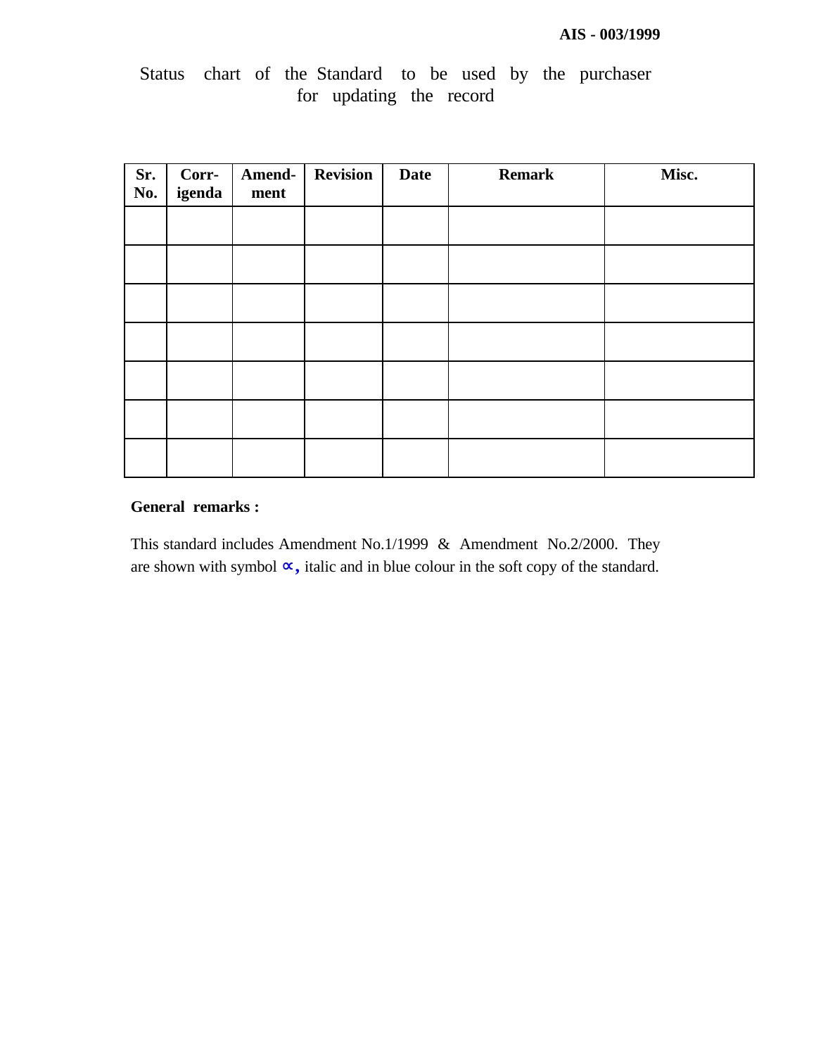#### **AIS - 003/1999**

| Sr.<br>No. | Corr-<br>igenda | Amend-<br>ment | <b>Revision</b> | <b>Date</b> | <b>Remark</b> | Misc. |
|------------|-----------------|----------------|-----------------|-------------|---------------|-------|
|            |                 |                |                 |             |               |       |
|            |                 |                |                 |             |               |       |
|            |                 |                |                 |             |               |       |
|            |                 |                |                 |             |               |       |
|            |                 |                |                 |             |               |       |
|            |                 |                |                 |             |               |       |
|            |                 |                |                 |             |               |       |

# Status chart of the Standard to be used by the purchaser for updating the record

#### **General remarks :**

This standard includes Amendment No.1/1999 & Amendment No.2/2000. They are shown with symbol ∝**,** italic and in blue colour in the soft copy of the standard.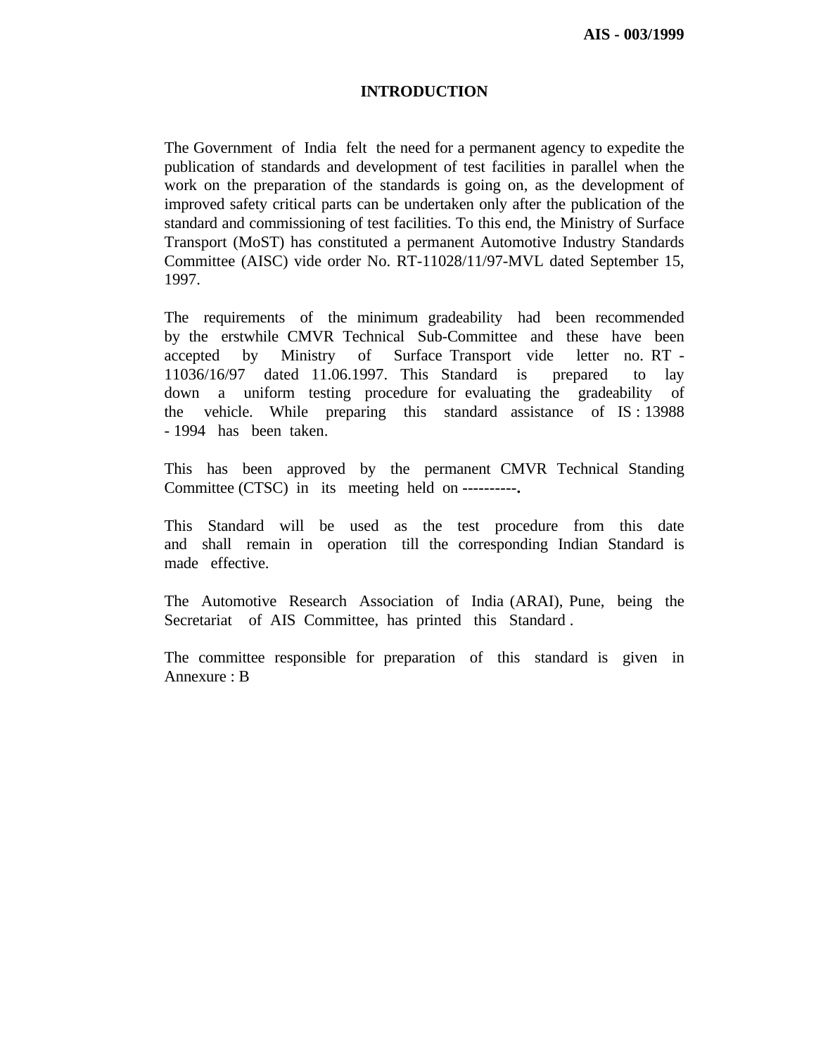#### **INTRODUCTION**

The Government of India felt the need for a permanent agency to expedite the publication of standards and development of test facilities in parallel when the work on the preparation of the standards is going on, as the development of improved safety critical parts can be undertaken only after the publication of the standard and commissioning of test facilities. To this end, the Ministry of Surface Transport (MoST) has constituted a permanent Automotive Industry Standards Committee (AISC) vide order No. RT-11028/11/97-MVL dated September 15, 1997.

The requirements of the minimum gradeability had been recommended by the erstwhile CMVR Technical Sub-Committee and these have been accepted by Ministry of Surface Transport vide letter no. RT - 11036/16/97 dated 11.06.1997. This Standard is prepared to lay down a uniform testing procedure for evaluating the gradeability of the vehicle. While preparing this standard assistance of IS : 13988 - 1994 has been taken.

This has been approved by the permanent CMVR Technical Standing Committee (CTSC) in its meeting held on **----------.**

This Standard will be used as the test procedure from this date and shall remain in operation till the corresponding Indian Standard is made effective.

The Automotive Research Association of India (ARAI), Pune, being the Secretariat of AIS Committee, has printed this Standard.

The committee responsible for preparation of this standard is given in Annexure : B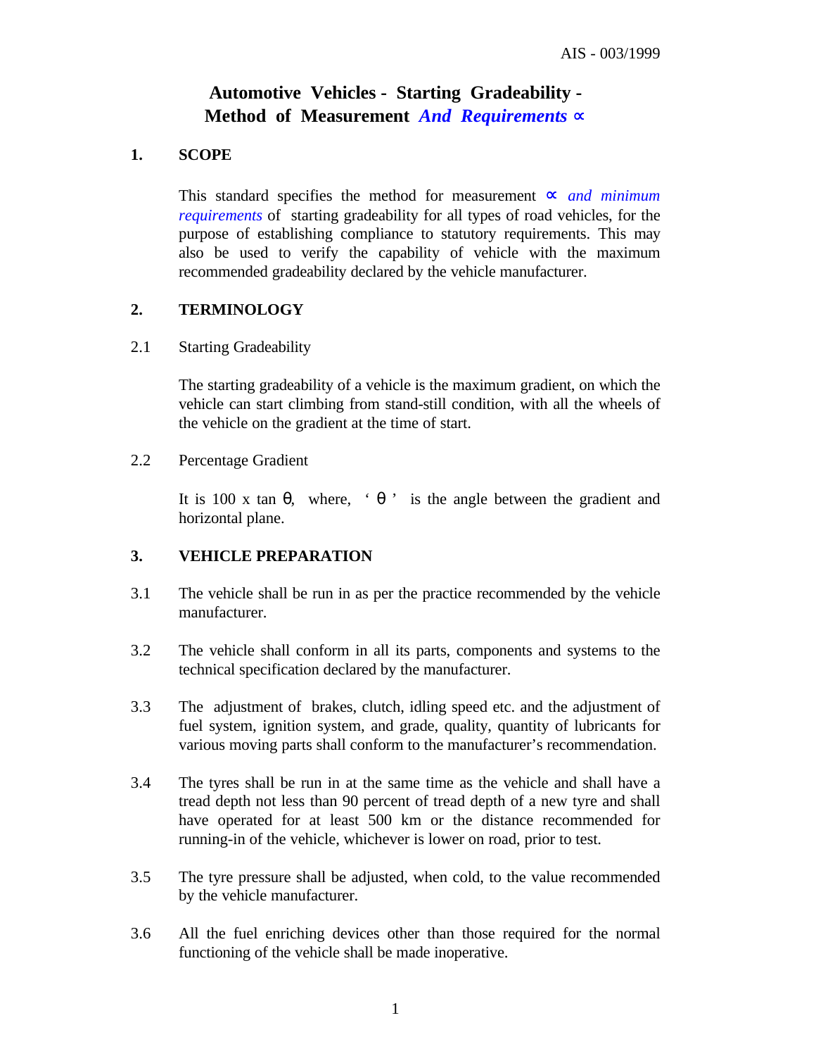# **Automotive Vehicles - Starting Gradeability - Method of Measurement** *And Requirements* ∝

#### **1. SCOPE**

This standard specifies the method for measurement ∝ *and minimum requirements* of starting gradeability for all types of road vehicles, for the purpose of establishing compliance to statutory requirements. This may also be used to verify the capability of vehicle with the maximum recommended gradeability declared by the vehicle manufacturer.

## **2. TERMINOLOGY**

2.1 Starting Gradeability

The starting gradeability of a vehicle is the maximum gradient, on which the vehicle can start climbing from stand-still condition, with all the wheels of the vehicle on the gradient at the time of start.

2.2 Percentage Gradient

It is 100 x tan θ, where, 'θ' is the angle between the gradient and horizontal plane.

## **3. VEHICLE PREPARATION**

- 3.1 The vehicle shall be run in as per the practice recommended by the vehicle manufacturer.
- 3.2 The vehicle shall conform in all its parts, components and systems to the technical specification declared by the manufacturer.
- 3.3 The adjustment of brakes, clutch, idling speed etc. and the adjustment of fuel system, ignition system, and grade, quality, quantity of lubricants for various moving parts shall conform to the manufacturer's recommendation.
- 3.4 The tyres shall be run in at the same time as the vehicle and shall have a tread depth not less than 90 percent of tread depth of a new tyre and shall have operated for at least 500 km or the distance recommended for running-in of the vehicle, whichever is lower on road, prior to test.
- 3.5 The tyre pressure shall be adjusted, when cold, to the value recommended by the vehicle manufacturer.
- 3.6 All the fuel enriching devices other than those required for the normal functioning of the vehicle shall be made inoperative.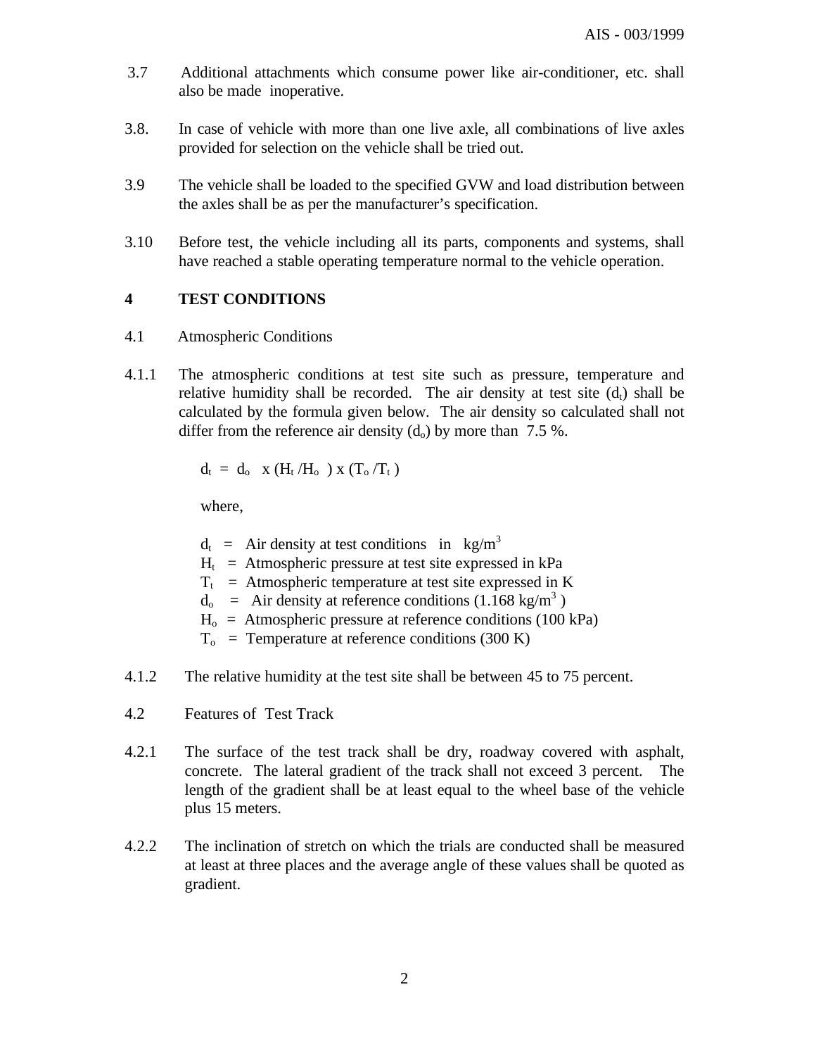- 3.7 Additional attachments which consume power like air-conditioner, etc. shall also be made inoperative.
- 3.8. In case of vehicle with more than one live axle, all combinations of live axles provided for selection on the vehicle shall be tried out.
- 3.9 The vehicle shall be loaded to the specified GVW and load distribution between the axles shall be as per the manufacturer's specification.
- 3.10 Before test, the vehicle including all its parts, components and systems, shall have reached a stable operating temperature normal to the vehicle operation.

# **4 TEST CONDITIONS**

- 4.1 Atmospheric Conditions
- 4.1.1 The atmospheric conditions at test site such as pressure, temperature and relative humidity shall be recorded. The air density at test site  $(d<sub>t</sub>)$  shall be calculated by the formula given below. The air density so calculated shall not differ from the reference air density  $(d_0)$  by more than 7.5 %.

$$
d_t = d_o \, x \, (H_t / H_o \, ) \, x \, (T_o / T_t \, )
$$

where,

- $d_t$  = Air density at test conditions in kg/m<sup>3</sup>
- $H_t$  = Atmospheric pressure at test site expressed in kPa
- $T_t$  = Atmospheric temperature at test site expressed in K
- $d_0$  = Air density at reference conditions (1.168 kg/m<sup>3</sup>)
	- $H<sub>o</sub>$  = Atmospheric pressure at reference conditions (100 kPa)
	- $T_0$  = Temperature at reference conditions (300 K)
- 4.1.2 The relative humidity at the test site shall be between 45 to 75 percent.
- 4.2 Features of Test Track
- 4.2.1 The surface of the test track shall be dry, roadway covered with asphalt, concrete. The lateral gradient of the track shall not exceed 3 percent. The length of the gradient shall be at least equal to the wheel base of the vehicle plus 15 meters.
- 4.2.2 The inclination of stretch on which the trials are conducted shall be measured at least at three places and the average angle of these values shall be quoted as gradient.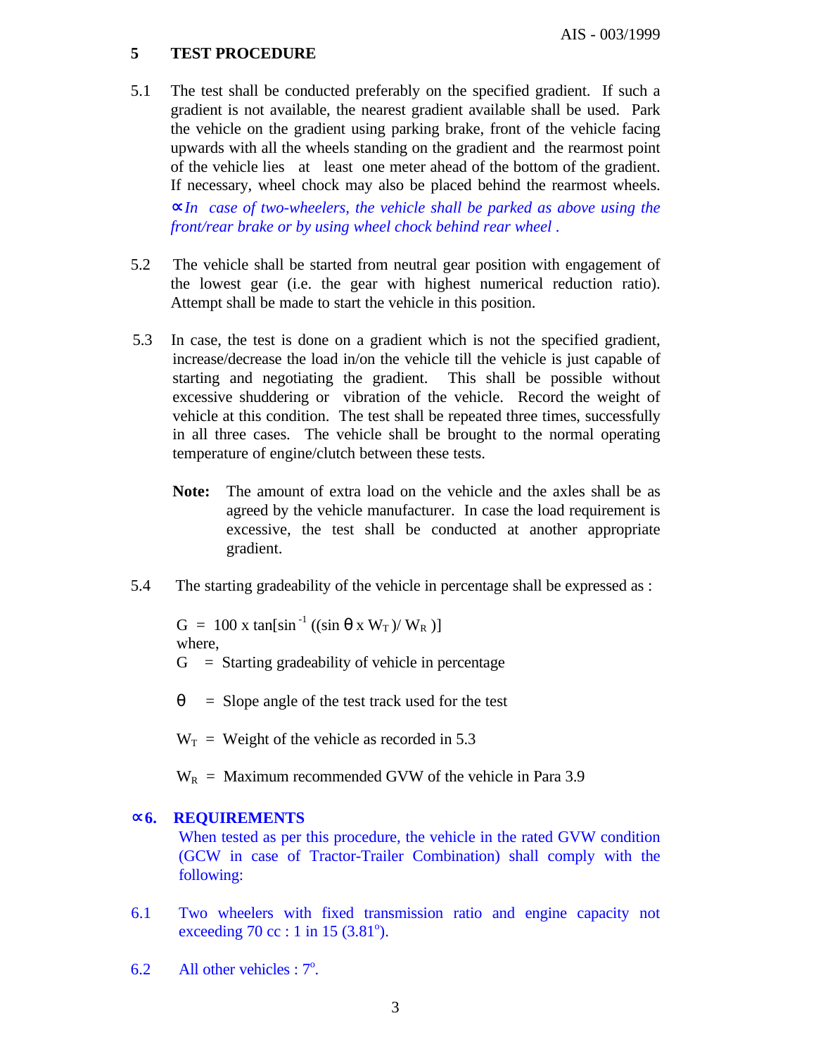#### **5 TEST PROCEDURE**

5.1 The test shall be conducted preferably on the specified gradient. If such a gradient is not available, the nearest gradient available shall be used. Park the vehicle on the gradient using parking brake, front of the vehicle facing upwards with all the wheels standing on the gradient and the rearmost point of the vehicle lies at least one meter ahead of the bottom of the gradient. If necessary, wheel chock may also be placed behind the rearmost wheels. ∝*In case of two-wheelers, the vehicle shall be parked as above using the*

*front/rear brake or by using wheel chock behind rear wheel .*

- 5.2 The vehicle shall be started from neutral gear position with engagement of the lowest gear (i.e. the gear with highest numerical reduction ratio). Attempt shall be made to start the vehicle in this position.
- 5.3 In case, the test is done on a gradient which is not the specified gradient, increase/decrease the load in/on the vehicle till the vehicle is just capable of starting and negotiating the gradient. This shall be possible without excessive shuddering or vibration of the vehicle. Record the weight of vehicle at this condition. The test shall be repeated three times, successfully in all three cases. The vehicle shall be brought to the normal operating temperature of engine/clutch between these tests.
	- **Note:** The amount of extra load on the vehicle and the axles shall be as agreed by the vehicle manufacturer. In case the load requirement is excessive, the test shall be conducted at another appropriate gradient.
- 5.4 The starting gradeability of the vehicle in percentage shall be expressed as :

 $G = 100 \text{ x } \tan[\sin^{-1} ((\sin \theta \text{ x } W_T) / W_R)]$ where,

- $G =$  Starting gradeability of vehicle in percentage
- $\theta$  = Slope angle of the test track used for the test
- $W_T$  = Weight of the vehicle as recorded in 5.3
- $W_R$  = Maximum recommended GVW of the vehicle in Para 3.9

#### ∝**6. REQUIREMENTS**

When tested as per this procedure, the vehicle in the rated GVW condition (GCW in case of Tractor-Trailer Combination) shall comply with the following:

- 6.1 Two wheelers with fixed transmission ratio and engine capacity not exceeding 70 cc : 1 in 15  $(3.81^{\circ})$ .
- 6.2 All other vehicles :  $7^\circ$ .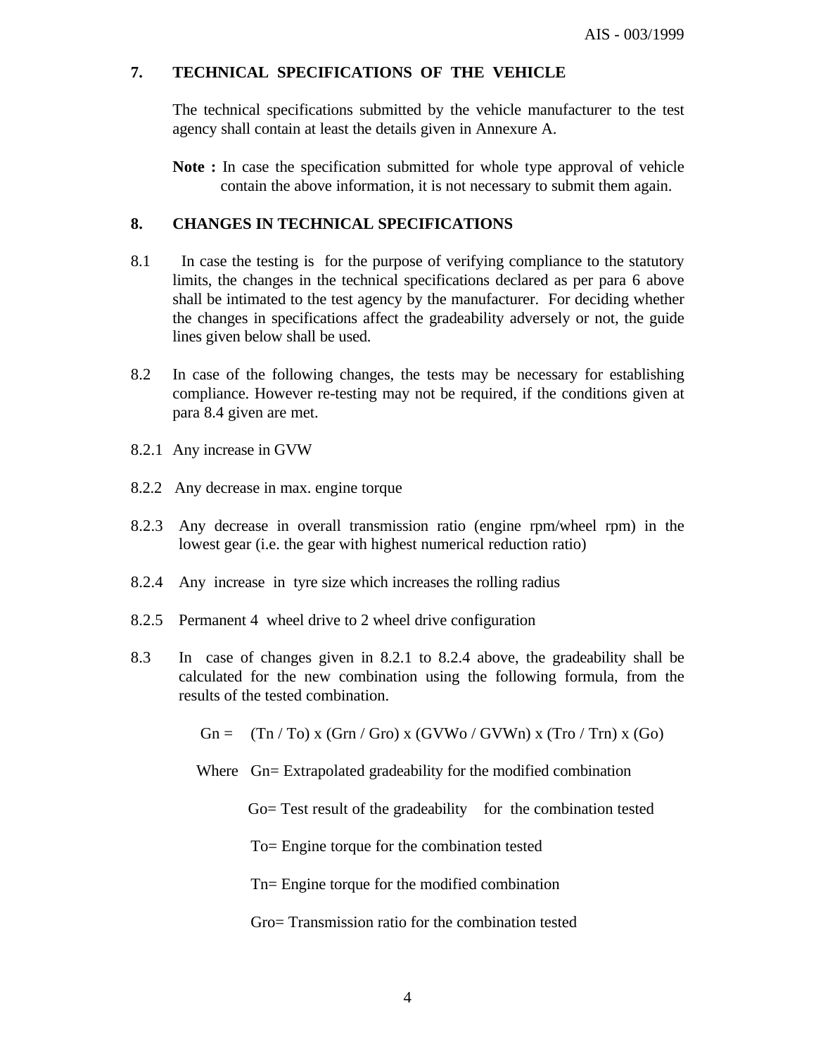## **7. TECHNICAL SPECIFICATIONS OF THE VEHICLE**

The technical specifications submitted by the vehicle manufacturer to the test agency shall contain at least the details given in Annexure A.

**Note :** In case the specification submitted for whole type approval of vehicle contain the above information, it is not necessary to submit them again.

#### **8. CHANGES IN TECHNICAL SPECIFICATIONS**

- 8.1 In case the testing is for the purpose of verifying compliance to the statutory limits, the changes in the technical specifications declared as per para 6 above shall be intimated to the test agency by the manufacturer. For deciding whether the changes in specifications affect the gradeability adversely or not, the guide lines given below shall be used.
- 8.2 In case of the following changes, the tests may be necessary for establishing compliance. However re-testing may not be required, if the conditions given at para 8.4 given are met.
- 8.2.1 Any increase in GVW
- 8.2.2 Any decrease in max. engine torque
- 8.2.3 Any decrease in overall transmission ratio (engine rpm/wheel rpm) in the lowest gear (i.e. the gear with highest numerical reduction ratio)
- 8.2.4 Any increase in tyre size which increases the rolling radius
- 8.2.5 Permanent 4 wheel drive to 2 wheel drive configuration
- 8.3 In case of changes given in 8.2.1 to 8.2.4 above, the gradeability shall be calculated for the new combination using the following formula, from the results of the tested combination.

 $Gn = (Tn / To) x (Grn / Gro) x (GVWo / GVWh) x (Tro / Trn) x (Go)$ 

Where Gn= Extrapolated gradeability for the modified combination

Go= Test result of the gradeability for the combination tested

To= Engine torque for the combination tested

Tn= Engine torque for the modified combination

Gro= Transmission ratio for the combination tested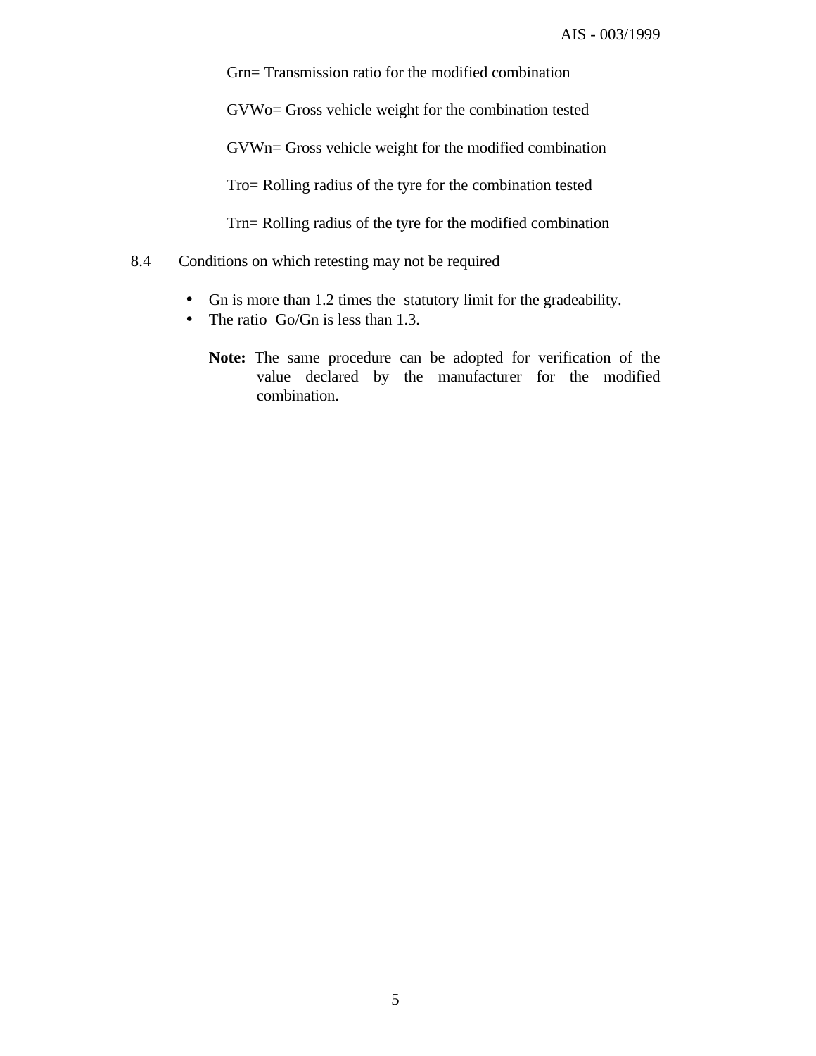Grn= Transmission ratio for the modified combination

GVWo= Gross vehicle weight for the combination tested

GVWn= Gross vehicle weight for the modified combination

Tro= Rolling radius of the tyre for the combination tested

Trn= Rolling radius of the tyre for the modified combination

- 8.4 Conditions on which retesting may not be required
	- Gn is more than 1.2 times the statutory limit for the gradeability.
	- The ratio Go/Gn is less than 1.3.
		- **Note:** The same procedure can be adopted for verification of the value declared by the manufacturer for the modified combination.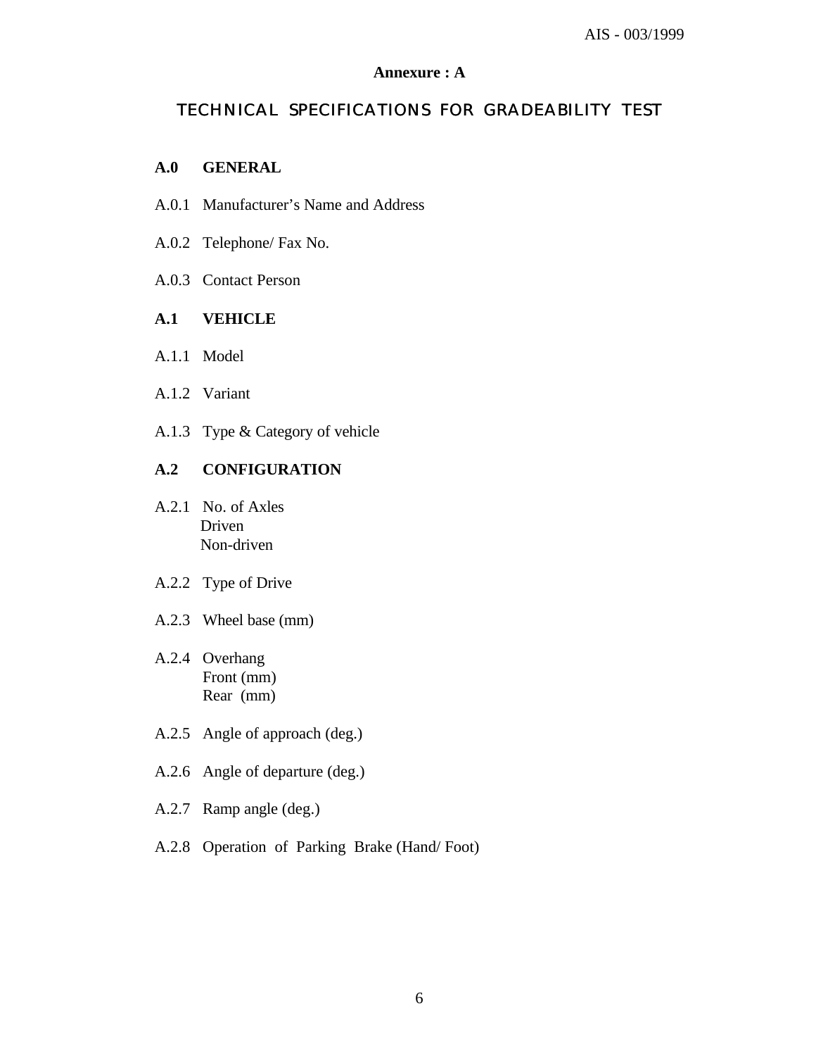#### **Annexure : A**

## TECHNICAL SPECIFICATIONS FOR GRADEABILITY TEST

#### **A.0 GENERAL**

- A.0.1 Manufacturer's Name and Address
- A.0.2 Telephone/ Fax No.
- A.0.3 Contact Person

#### **A.1 VEHICLE**

- A.1.1 Model
- A.1.2 Variant
- A.1.3 Type & Category of vehicle

#### **A.2 CONFIGURATION**

- A.2.1 No. of Axles Driven Non-driven
- A.2.2 Type of Drive
- A.2.3 Wheel base (mm)
- A.2.4 Overhang Front (mm) Rear (mm)
- A.2.5 Angle of approach (deg.)
- A.2.6 Angle of departure (deg.)
- A.2.7 Ramp angle (deg.)
- A.2.8 Operation of Parking Brake (Hand/ Foot)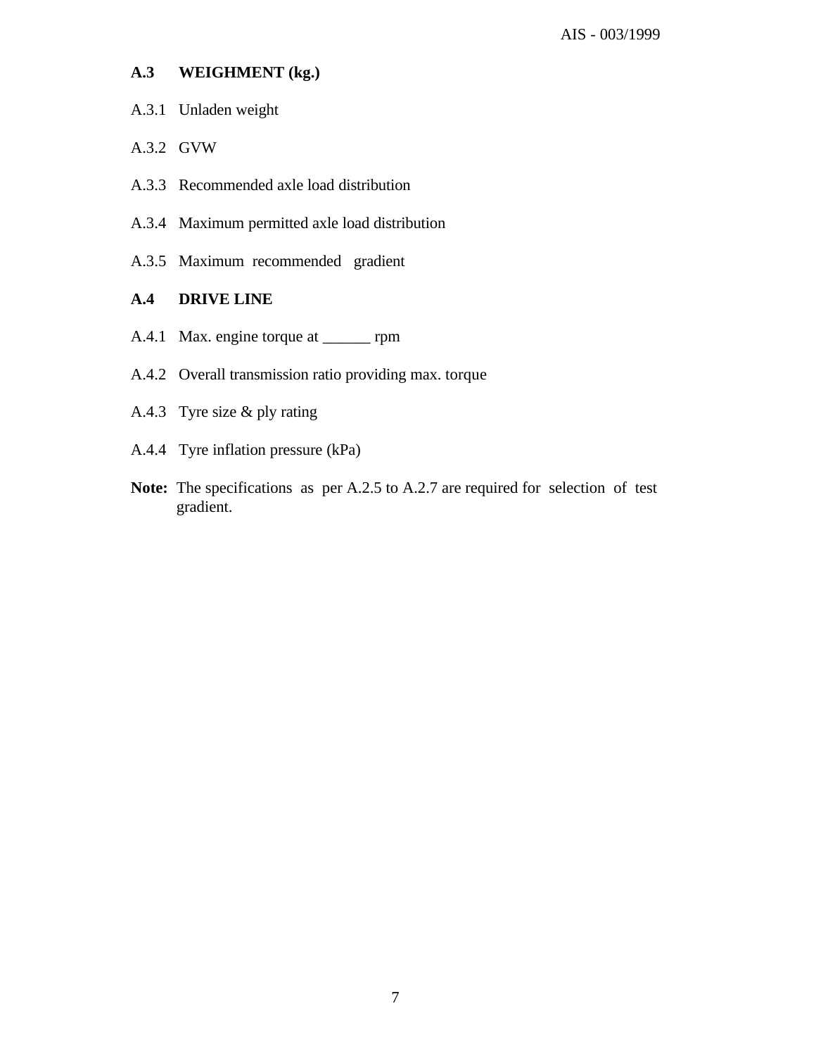#### **A.3 WEIGHMENT (kg.)**

- A.3.1 Unladen weight
- A.3.2 GVW
- A.3.3 Recommended axle load distribution
- A.3.4 Maximum permitted axle load distribution
- A.3.5 Maximum recommended gradient

### **A.4 DRIVE LINE**

- A.4.1 Max. engine torque at \_\_\_\_\_\_ rpm
- A.4.2 Overall transmission ratio providing max. torque
- A.4.3 Tyre size & ply rating
- A.4.4 Tyre inflation pressure (kPa)
- **Note:** The specifications as per A.2.5 to A.2.7 are required for selection of test gradient.